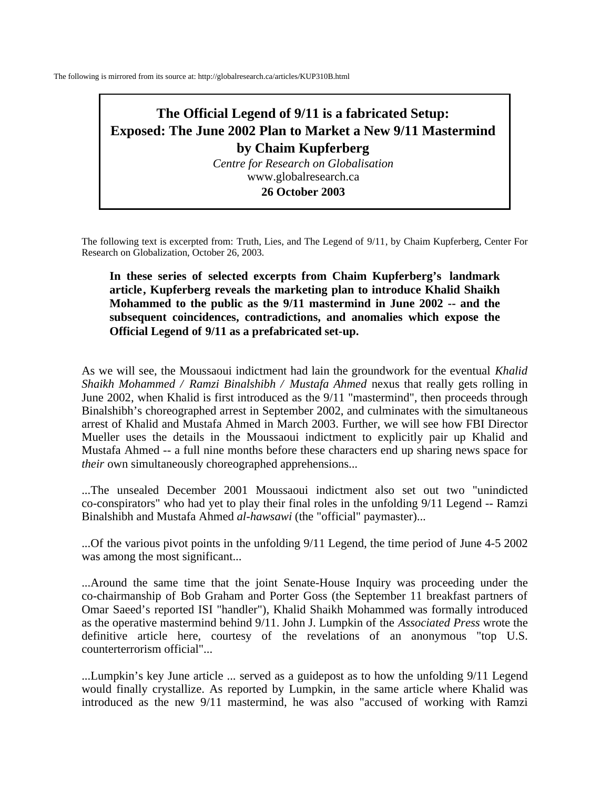The following is mirrored from its source at: http://globalresearch.ca/articles/KUP310B.html

## **The Official Legend of 9/11 is a fabricated Setup: Exposed: The June 2002 Plan to Market a New 9/11 Mastermind by Chaim Kupferberg**

*Centre for Research on Globalisation*  www.globalresearch.ca

**26 October 2003** 

The following text is excerpted from: Truth, Lies, and The Legend of 9/11, by Chaim Kupferberg, Center For Research on Globalization, October 26, 2003.

**In these series of selected excerpts from Chaim Kupferberg's landmark article, Kupferberg reveals the marketing plan to introduce Khalid Shaikh Mohammed to the public as the 9/11 mastermind in June 2002 -- and the subsequent coincidences, contradictions, and anomalies which expose the Official Legend of 9/11 as a prefabricated set-up.** 

As we will see, the Moussaoui indictment had lain the groundwork for the eventual *Khalid Shaikh Mohammed / Ramzi Binalshibh / Mustafa Ahmed* nexus that really gets rolling in June 2002, when Khalid is first introduced as the 9/11 "mastermind", then proceeds through Binalshibh's choreographed arrest in September 2002, and culminates with the simultaneous arrest of Khalid and Mustafa Ahmed in March 2003. Further, we will see how FBI Director Mueller uses the details in the Moussaoui indictment to explicitly pair up Khalid and Mustafa Ahmed -- a full nine months before these characters end up sharing news space for *their* own simultaneously choreographed apprehensions...

...The unsealed December 2001 Moussaoui indictment also set out two "unindicted co-conspirators" who had yet to play their final roles in the unfolding 9/11 Legend -- Ramzi Binalshibh and Mustafa Ahmed *al-hawsawi* (the "official" paymaster)...

...Of the various pivot points in the unfolding 9/11 Legend, the time period of June 4-5 2002 was among the most significant...

...Around the same time that the joint Senate-House Inquiry was proceeding under the co-chairmanship of Bob Graham and Porter Goss (the September 11 breakfast partners of Omar Saeed's reported ISI "handler"), Khalid Shaikh Mohammed was formally introduced as the operative mastermind behind 9/11. John J. Lumpkin of the *Associated Press* wrote the definitive article here, courtesy of the revelations of an anonymous "top U.S. counterterrorism official"...

...Lumpkin's key June article ... served as a guidepost as to how the unfolding 9/11 Legend would finally crystallize. As reported by Lumpkin, in the same article where Khalid was introduced as the new 9/11 mastermind, he was also "accused of working with Ramzi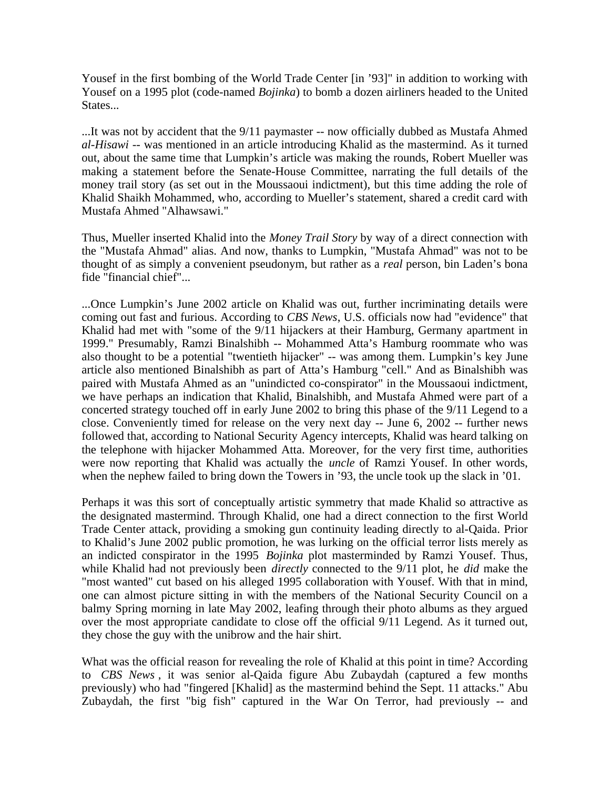Yousef in the first bombing of the World Trade Center [in '93]" in addition to working with Yousef on a 1995 plot (code-named *Bojinka*) to bomb a dozen airliners headed to the United States...

...It was not by accident that the 9/11 paymaster -- now officially dubbed as Mustafa Ahmed *al-Hisawi* -- was mentioned in an article introducing Khalid as the mastermind. As it turned out, about the same time that Lumpkin's article was making the rounds, Robert Mueller was making a statement before the Senate-House Committee, narrating the full details of the money trail story (as set out in the Moussaoui indictment), but this time adding the role of Khalid Shaikh Mohammed, who, according to Mueller's statement, shared a credit card with Mustafa Ahmed "Alhawsawi."

Thus, Mueller inserted Khalid into the *Money Trail Story* by way of a direct connection with the "Mustafa Ahmad" alias. And now, thanks to Lumpkin, "Mustafa Ahmad" was not to be thought of as simply a convenient pseudonym, but rather as a *real* person, bin Laden's bona fide "financial chief"...

...Once Lumpkin's June 2002 article on Khalid was out, further incriminating details were coming out fast and furious. According to *CBS News*, U.S. officials now had "evidence" that Khalid had met with "some of the 9/11 hijackers at their Hamburg, Germany apartment in 1999." Presumably, Ramzi Binalshibh -- Mohammed Atta's Hamburg roommate who was also thought to be a potential "twentieth hijacker" -- was among them. Lumpkin's key June article also mentioned Binalshibh as part of Atta's Hamburg "cell." And as Binalshibh was paired with Mustafa Ahmed as an "unindicted co-conspirator" in the Moussaoui indictment, we have perhaps an indication that Khalid, Binalshibh, and Mustafa Ahmed were part of a concerted strategy touched off in early June 2002 to bring this phase of the 9/11 Legend to a close. Conveniently timed for release on the very next day -- June 6, 2002 -- further news followed that, according to National Security Agency intercepts, Khalid was heard talking on the telephone with hijacker Mohammed Atta. Moreover, for the very first time, authorities were now reporting that Khalid was actually the *uncle* of Ramzi Yousef. In other words, when the nephew failed to bring down the Towers in '93, the uncle took up the slack in '01.

Perhaps it was this sort of conceptually artistic symmetry that made Khalid so attractive as the designated mastermind. Through Khalid, one had a direct connection to the first World Trade Center attack, providing a smoking gun continuity leading directly to al-Qaida. Prior to Khalid's June 2002 public promotion, he was lurking on the official terror lists merely as an indicted conspirator in the 1995 *Bojinka* plot masterminded by Ramzi Yousef. Thus, while Khalid had not previously been *directly* connected to the 9/11 plot, he *did* make the "most wanted" cut based on his alleged 1995 collaboration with Yousef. With that in mind, one can almost picture sitting in with the members of the National Security Council on a balmy Spring morning in late May 2002, leafing through their photo albums as they argued over the most appropriate candidate to close off the official 9/11 Legend. As it turned out, they chose the guy with the unibrow and the hair shirt.

What was the official reason for revealing the role of Khalid at this point in time? According to *CBS News* , it was senior al-Qaida figure Abu Zubaydah (captured a few months previously) who had "fingered [Khalid] as the mastermind behind the Sept. 11 attacks." Abu Zubaydah, the first "big fish" captured in the War On Terror, had previously -- and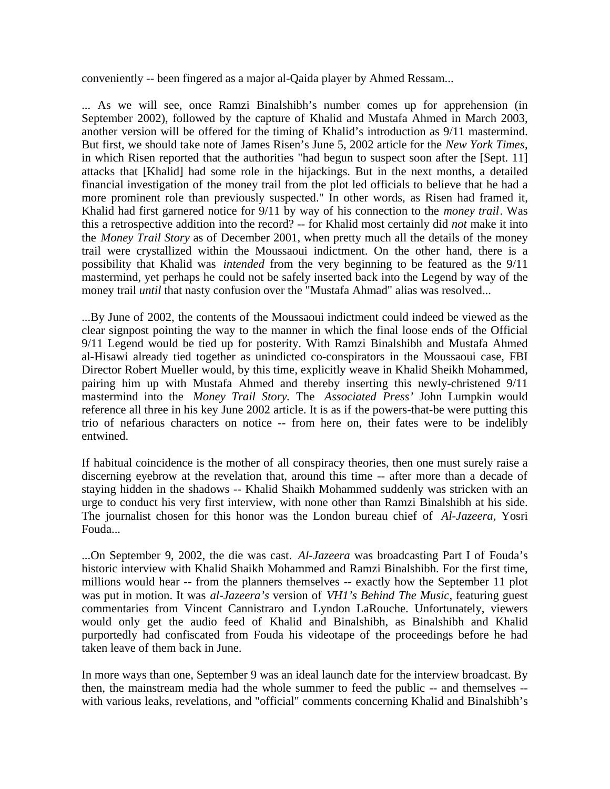conveniently -- been fingered as a major al-Qaida player by Ahmed Ressam...

... As we will see, once Ramzi Binalshibh's number comes up for apprehension (in September 2002), followed by the capture of Khalid and Mustafa Ahmed in March 2003, another version will be offered for the timing of Khalid's introduction as 9/11 mastermind. But first, we should take note of James Risen's June 5, 2002 article for the *New York Times*, in which Risen reported that the authorities "had begun to suspect soon after the [Sept. 11] attacks that [Khalid] had some role in the hijackings. But in the next months, a detailed financial investigation of the money trail from the plot led officials to believe that he had a more prominent role than previously suspected." In other words, as Risen had framed it, Khalid had first garnered notice for 9/11 by way of his connection to the *money trail*. Was this a retrospective addition into the record? -- for Khalid most certainly did *not* make it into the *Money Trail Story* as of December 2001, when pretty much all the details of the money trail were crystallized within the Moussaoui indictment. On the other hand, there is a possibility that Khalid was *intended* from the very beginning to be featured as the 9/11 mastermind, yet perhaps he could not be safely inserted back into the Legend by way of the money trail *until* that nasty confusion over the "Mustafa Ahmad" alias was resolved...

...By June of 2002, the contents of the Moussaoui indictment could indeed be viewed as the clear signpost pointing the way to the manner in which the final loose ends of the Official 9/11 Legend would be tied up for posterity. With Ramzi Binalshibh and Mustafa Ahmed al-Hisawi already tied together as unindicted co-conspirators in the Moussaoui case, FBI Director Robert Mueller would, by this time, explicitly weave in Khalid Sheikh Mohammed, pairing him up with Mustafa Ahmed and thereby inserting this newly-christened 9/11 mastermind into the *Money Trail Story.* The *Associated Press'* John Lumpkin would reference all three in his key June 2002 article. It is as if the powers-that-be were putting this trio of nefarious characters on notice -- from here on, their fates were to be indelibly entwined.

If habitual coincidence is the mother of all conspiracy theories, then one must surely raise a discerning eyebrow at the revelation that, around this time -- after more than a decade of staying hidden in the shadows -- Khalid Shaikh Mohammed suddenly was stricken with an urge to conduct his very first interview, with none other than Ramzi Binalshibh at his side. The journalist chosen for this honor was the London bureau chief of *Al-Jazeera,* Yosri Fouda...

...On September 9, 2002, the die was cast. *Al-Jazeera* was broadcasting Part I of Fouda's historic interview with Khalid Shaikh Mohammed and Ramzi Binalshibh. For the first time, millions would hear -- from the planners themselves -- exactly how the September 11 plot was put in motion. It was *al-Jazeera's* version of *VH1's Behind The Music,* featuring guest commentaries from Vincent Cannistraro and Lyndon LaRouche. Unfortunately, viewers would only get the audio feed of Khalid and Binalshibh, as Binalshibh and Khalid purportedly had confiscated from Fouda his videotape of the proceedings before he had taken leave of them back in June.

In more ways than one, September 9 was an ideal launch date for the interview broadcast. By then, the mainstream media had the whole summer to feed the public -- and themselves - with various leaks, revelations, and "official" comments concerning Khalid and Binalshibh's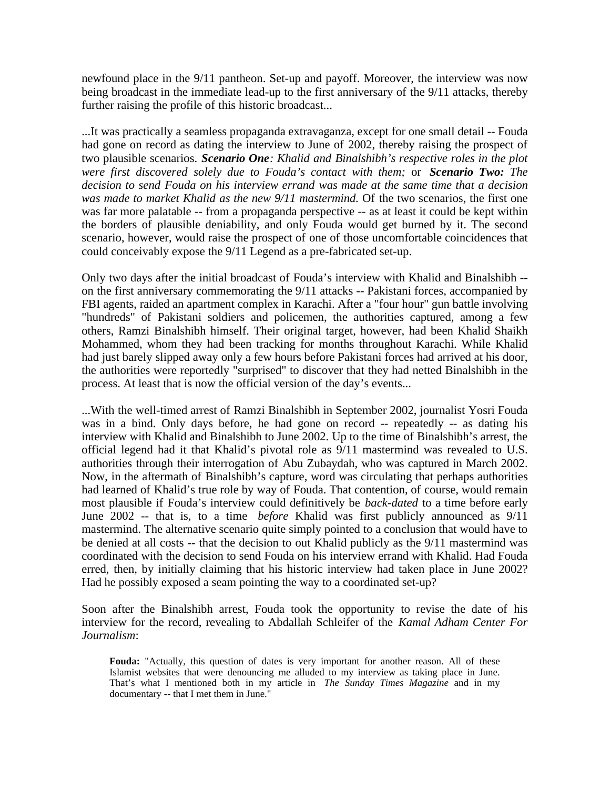newfound place in the 9/11 pantheon. Set-up and payoff. Moreover, the interview was now being broadcast in the immediate lead-up to the first anniversary of the 9/11 attacks, thereby further raising the profile of this historic broadcast...

...It was practically a seamless propaganda extravaganza, except for one small detail -- Fouda had gone on record as dating the interview to June of 2002, thereby raising the prospect of two plausible scenarios. *Scenario One: Khalid and Binalshibh's respective roles in the plot were first discovered solely due to Fouda's contact with them;* or *Scenario Two: The decision to send Fouda on his interview errand was made at the same time that a decision was made to market Khalid as the new 9/11 mastermind.* Of the two scenarios, the first one was far more palatable -- from a propaganda perspective -- as at least it could be kept within the borders of plausible deniability, and only Fouda would get burned by it. The second scenario, however, would raise the prospect of one of those uncomfortable coincidences that could conceivably expose the 9/11 Legend as a pre-fabricated set-up.

Only two days after the initial broadcast of Fouda's interview with Khalid and Binalshibh - on the first anniversary commemorating the 9/11 attacks -- Pakistani forces, accompanied by FBI agents, raided an apartment complex in Karachi. After a "four hour" gun battle involving "hundreds" of Pakistani soldiers and policemen, the authorities captured, among a few others, Ramzi Binalshibh himself. Their original target, however, had been Khalid Shaikh Mohammed, whom they had been tracking for months throughout Karachi. While Khalid had just barely slipped away only a few hours before Pakistani forces had arrived at his door, the authorities were reportedly "surprised" to discover that they had netted Binalshibh in the process. At least that is now the official version of the day's events...

...With the well-timed arrest of Ramzi Binalshibh in September 2002, journalist Yosri Fouda was in a bind. Only days before, he had gone on record -- repeatedly -- as dating his interview with Khalid and Binalshibh to June 2002. Up to the time of Binalshibh's arrest, the official legend had it that Khalid's pivotal role as 9/11 mastermind was revealed to U.S. authorities through their interrogation of Abu Zubaydah, who was captured in March 2002. Now, in the aftermath of Binalshibh's capture, word was circulating that perhaps authorities had learned of Khalid's true role by way of Fouda. That contention, of course, would remain most plausible if Fouda's interview could definitively be *back-dated* to a time before early June 2002 -- that is, to a time *before* Khalid was first publicly announced as 9/11 mastermind. The alternative scenario quite simply pointed to a conclusion that would have to be denied at all costs -- that the decision to out Khalid publicly as the 9/11 mastermind was coordinated with the decision to send Fouda on his interview errand with Khalid. Had Fouda erred, then, by initially claiming that his historic interview had taken place in June 2002? Had he possibly exposed a seam pointing the way to a coordinated set-up?

Soon after the Binalshibh arrest, Fouda took the opportunity to revise the date of his interview for the record, revealing to Abdallah Schleifer of the *Kamal Adham Center For Journalism*:

**Fouda:** "Actually, this question of dates is very important for another reason. All of these Islamist websites that were denouncing me alluded to my interview as taking place in June. That's what I mentioned both in my article in *The Sunday Times Magazine* and in my documentary -- that I met them in June."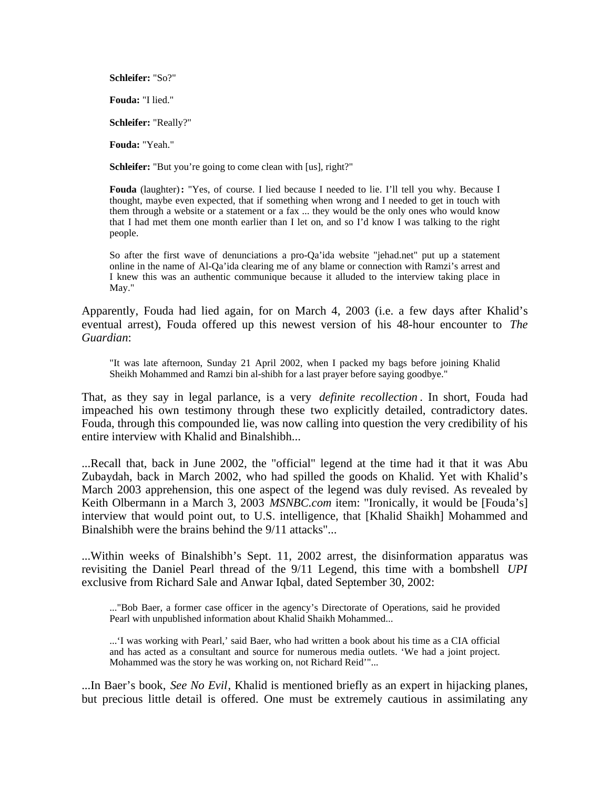**Schleifer:** "So?"

**Fouda:** "I lied."

**Schleifer:** "Really?"

**Fouda:** "Yeah."

**Schleifer:** "But you're going to come clean with [us], right?"

**Fouda** (laughter)**:** "Yes, of course. I lied because I needed to lie. I'll tell you why. Because I thought, maybe even expected, that if something when wrong and I needed to get in touch with them through a website or a statement or a fax ... they would be the only ones who would know that I had met them one month earlier than I let on, and so I'd know I was talking to the right people.

So after the first wave of denunciations a pro-Qa'ida website "jehad.net" put up a statement online in the name of Al-Qa'ida clearing me of any blame or connection with Ramzi's arrest and I knew this was an authentic communique because it alluded to the interview taking place in May."

Apparently, Fouda had lied again, for on March 4, 2003 (i.e. a few days after Khalid's eventual arrest), Fouda offered up this newest version of his 48-hour encounter to *The Guardian*:

"It was late afternoon, Sunday 21 April 2002, when I packed my bags before joining Khalid Sheikh Mohammed and Ramzi bin al-shibh for a last prayer before saying goodbye."

That, as they say in legal parlance, is a very *definite recollection* . In short, Fouda had impeached his own testimony through these two explicitly detailed, contradictory dates. Fouda, through this compounded lie, was now calling into question the very credibility of his entire interview with Khalid and Binalshibh...

...Recall that, back in June 2002, the "official" legend at the time had it that it was Abu Zubaydah, back in March 2002, who had spilled the goods on Khalid. Yet with Khalid's March 2003 apprehension, this one aspect of the legend was duly revised. As revealed by Keith Olbermann in a March 3, 2003 *MSNBC.com* item: "Ironically, it would be [Fouda's] interview that would point out, to U.S. intelligence, that [Khalid Shaikh] Mohammed and Binalshibh were the brains behind the 9/11 attacks"...

...Within weeks of Binalshibh's Sept. 11, 2002 arrest, the disinformation apparatus was revisiting the Daniel Pearl thread of the 9/11 Legend, this time with a bombshell *UPI* exclusive from Richard Sale and Anwar Iqbal, dated September 30, 2002:

..."Bob Baer, a former case officer in the agency's Directorate of Operations, said he provided Pearl with unpublished information about Khalid Shaikh Mohammed...

...'I was working with Pearl,' said Baer, who had written a book about his time as a CIA official and has acted as a consultant and source for numerous media outlets. 'We had a joint project. Mohammed was the story he was working on, not Richard Reid'"...

...In Baer's book, *See No Evil*, Khalid is mentioned briefly as an expert in hijacking planes, but precious little detail is offered. One must be extremely cautious in assimilating any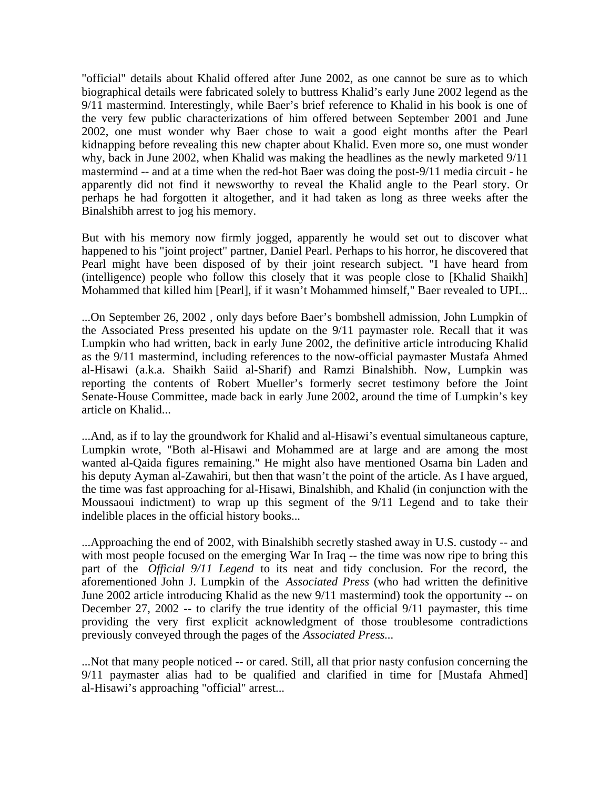"official" details about Khalid offered after June 2002, as one cannot be sure as to which biographical details were fabricated solely to buttress Khalid's early June 2002 legend as the 9/11 mastermind. Interestingly, while Baer's brief reference to Khalid in his book is one of the very few public characterizations of him offered between September 2001 and June 2002, one must wonder why Baer chose to wait a good eight months after the Pearl kidnapping before revealing this new chapter about Khalid. Even more so, one must wonder why, back in June 2002, when Khalid was making the headlines as the newly marketed 9/11 mastermind -- and at a time when the red-hot Baer was doing the post-9/11 media circuit - he apparently did not find it newsworthy to reveal the Khalid angle to the Pearl story. Or perhaps he had forgotten it altogether, and it had taken as long as three weeks after the Binalshibh arrest to jog his memory.

But with his memory now firmly jogged, apparently he would set out to discover what happened to his "joint project" partner, Daniel Pearl. Perhaps to his horror, he discovered that Pearl might have been disposed of by their joint research subject. "I have heard from (intelligence) people who follow this closely that it was people close to [Khalid Shaikh] Mohammed that killed him [Pearl], if it wasn't Mohammed himself," Baer revealed to UPI...

...On September 26, 2002 , only days before Baer's bombshell admission, John Lumpkin of the Associated Press presented his update on the 9/11 paymaster role. Recall that it was Lumpkin who had written, back in early June 2002, the definitive article introducing Khalid as the 9/11 mastermind, including references to the now-official paymaster Mustafa Ahmed al-Hisawi (a.k.a. Shaikh Saiid al-Sharif) and Ramzi Binalshibh. Now, Lumpkin was reporting the contents of Robert Mueller's formerly secret testimony before the Joint Senate-House Committee, made back in early June 2002, around the time of Lumpkin's key article on Khalid...

...And, as if to lay the groundwork for Khalid and al-Hisawi's eventual simultaneous capture, Lumpkin wrote, "Both al-Hisawi and Mohammed are at large and are among the most wanted al-Qaida figures remaining." He might also have mentioned Osama bin Laden and his deputy Ayman al-Zawahiri, but then that wasn't the point of the article. As I have argued, the time was fast approaching for al-Hisawi, Binalshibh, and Khalid (in conjunction with the Moussaoui indictment) to wrap up this segment of the 9/11 Legend and to take their indelible places in the official history books...

...Approaching the end of 2002, with Binalshibh secretly stashed away in U.S. custody -- and with most people focused on the emerging War In Iraq -- the time was now ripe to bring this part of the *Official 9/11 Legend* to its neat and tidy conclusion. For the record, the aforementioned John J. Lumpkin of the *Associated Press* (who had written the definitive June 2002 article introducing Khalid as the new 9/11 mastermind) took the opportunity -- on December 27, 2002 -- to clarify the true identity of the official 9/11 paymaster, this time providing the very first explicit acknowledgment of those troublesome contradictions previously conveyed through the pages of the *Associated Press...*

...Not that many people noticed -- or cared. Still, all that prior nasty confusion concerning the 9/11 paymaster alias had to be qualified and clarified in time for [Mustafa Ahmed] al-Hisawi's approaching "official" arrest...